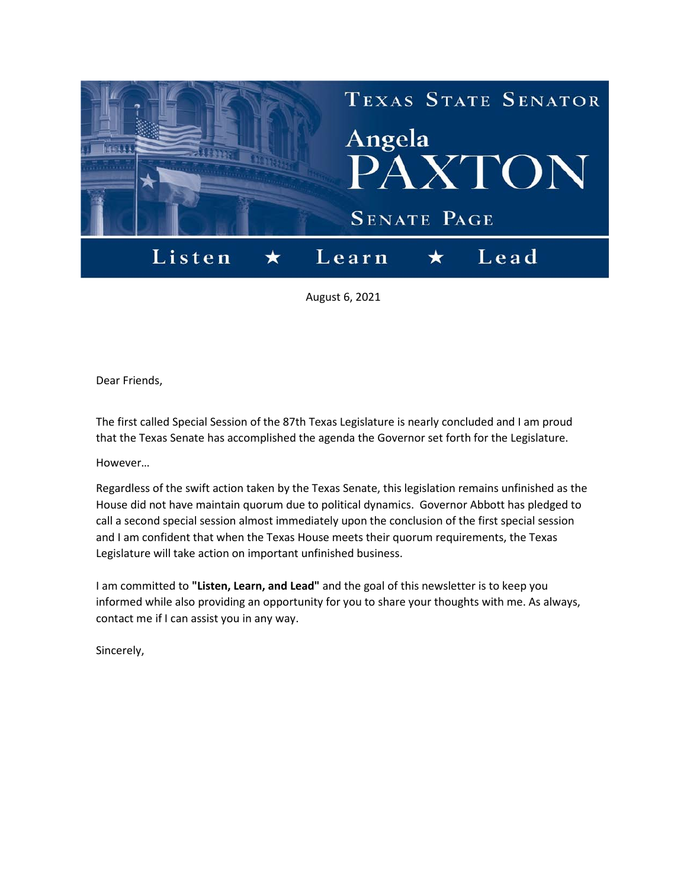

August 6, 2021

Dear Friends,

The first called Special Session of the 87th Texas Legislature is nearly concluded and I am proud that the Texas Senate has accomplished the agenda the Governor set forth for the Legislature.

However…

Regardless of the swift action taken by the Texas Senate, this legislation remains unfinished as the House did not have maintain quorum due to political dynamics. Governor Abbott has pledged to call a second special session almost immediately upon the conclusion of the first special session and I am confident that when the Texas House meets their quorum requirements, the Texas Legislature will take action on important unfinished business.

I am committed to **"Listen, Learn, and Lead"** and the goal of this newsletter is to keep you informed while also providing an opportunity for you to share your thoughts with me. As always, contact me if I can assist you in any way.

Sincerely,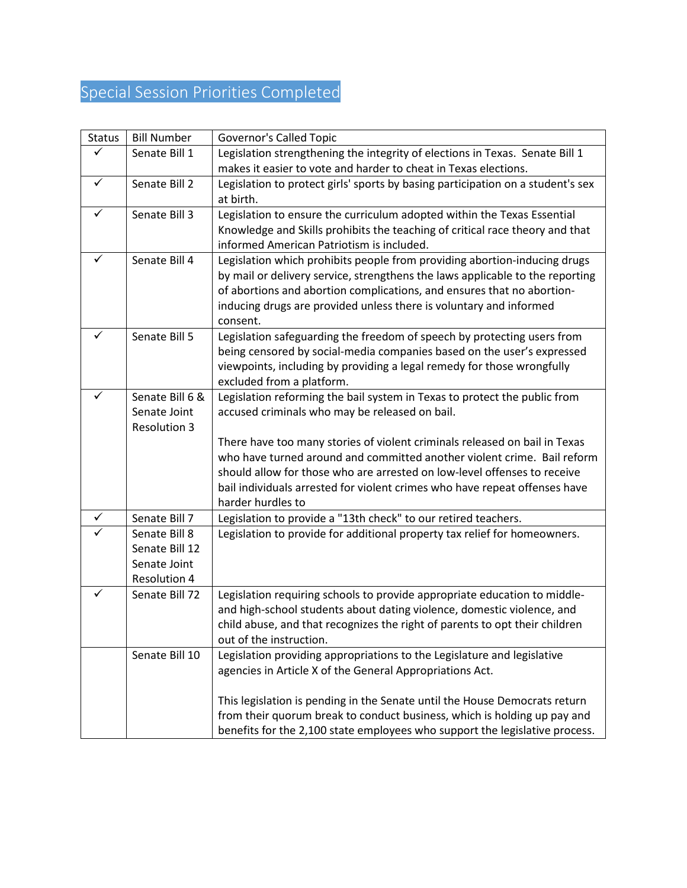## Special Session Priorities Completed

| <b>Status</b> | <b>Bill Number</b>  | <b>Governor's Called Topic</b>                                                                                                                      |
|---------------|---------------------|-----------------------------------------------------------------------------------------------------------------------------------------------------|
| ✓             | Senate Bill 1       | Legislation strengthening the integrity of elections in Texas. Senate Bill 1                                                                        |
|               |                     | makes it easier to vote and harder to cheat in Texas elections.                                                                                     |
| $\checkmark$  | Senate Bill 2       | Legislation to protect girls' sports by basing participation on a student's sex                                                                     |
|               |                     | at birth.                                                                                                                                           |
| $\checkmark$  | Senate Bill 3       | Legislation to ensure the curriculum adopted within the Texas Essential                                                                             |
|               |                     | Knowledge and Skills prohibits the teaching of critical race theory and that                                                                        |
|               |                     | informed American Patriotism is included.                                                                                                           |
| ✓             | Senate Bill 4       | Legislation which prohibits people from providing abortion-inducing drugs                                                                           |
|               |                     | by mail or delivery service, strengthens the laws applicable to the reporting                                                                       |
|               |                     | of abortions and abortion complications, and ensures that no abortion-                                                                              |
|               |                     | inducing drugs are provided unless there is voluntary and informed                                                                                  |
|               |                     | consent.                                                                                                                                            |
| ✓             | Senate Bill 5       | Legislation safeguarding the freedom of speech by protecting users from                                                                             |
|               |                     | being censored by social-media companies based on the user's expressed                                                                              |
|               |                     | viewpoints, including by providing a legal remedy for those wrongfully                                                                              |
|               |                     | excluded from a platform.                                                                                                                           |
| ✓             | Senate Bill 6 &     | Legislation reforming the bail system in Texas to protect the public from                                                                           |
|               | Senate Joint        | accused criminals who may be released on bail.                                                                                                      |
|               | <b>Resolution 3</b> |                                                                                                                                                     |
|               |                     | There have too many stories of violent criminals released on bail in Texas                                                                          |
|               |                     | who have turned around and committed another violent crime. Bail reform                                                                             |
|               |                     | should allow for those who are arrested on low-level offenses to receive                                                                            |
|               |                     | bail individuals arrested for violent crimes who have repeat offenses have                                                                          |
|               |                     | harder hurdles to                                                                                                                                   |
| ✓             | Senate Bill 7       | Legislation to provide a "13th check" to our retired teachers.                                                                                      |
|               | Senate Bill 8       | Legislation to provide for additional property tax relief for homeowners.                                                                           |
|               | Senate Bill 12      |                                                                                                                                                     |
|               | Senate Joint        |                                                                                                                                                     |
| ✓             | <b>Resolution 4</b> |                                                                                                                                                     |
|               | Senate Bill 72      | Legislation requiring schools to provide appropriate education to middle-<br>and high-school students about dating violence, domestic violence, and |
|               |                     |                                                                                                                                                     |
|               |                     | child abuse, and that recognizes the right of parents to opt their children                                                                         |
|               | Senate Bill 10      | out of the instruction.                                                                                                                             |
|               |                     | Legislation providing appropriations to the Legislature and legislative<br>agencies in Article X of the General Appropriations Act.                 |
|               |                     |                                                                                                                                                     |
|               |                     | This legislation is pending in the Senate until the House Democrats return                                                                          |
|               |                     | from their quorum break to conduct business, which is holding up pay and                                                                            |
|               |                     | benefits for the 2,100 state employees who support the legislative process.                                                                         |